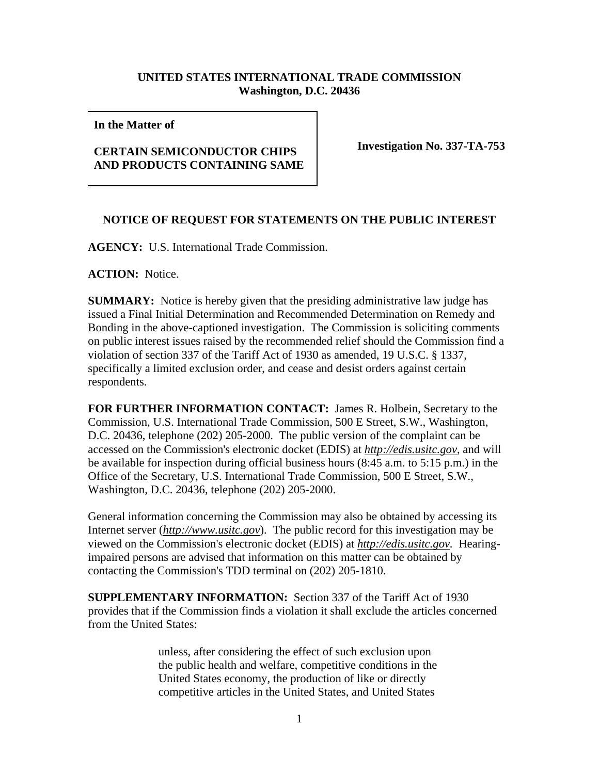## **UNITED STATES INTERNATIONAL TRADE COMMISSION Washington, D.C. 20436**

**In the Matter of** 

## **CERTAIN SEMICONDUCTOR CHIPS AND PRODUCTS CONTAINING SAME**

**Investigation No. 337-TA-753**

## **NOTICE OF REQUEST FOR STATEMENTS ON THE PUBLIC INTEREST**

**AGENCY:** U.S. International Trade Commission.

**ACTION:** Notice.

**SUMMARY:** Notice is hereby given that the presiding administrative law judge has issued a Final Initial Determination and Recommended Determination on Remedy and Bonding in the above-captioned investigation. The Commission is soliciting comments on public interest issues raised by the recommended relief should the Commission find a violation of section 337 of the Tariff Act of 1930 as amended, 19 U.S.C. § 1337, specifically a limited exclusion order, and cease and desist orders against certain respondents.

**FOR FURTHER INFORMATION CONTACT:** James R. Holbein, Secretary to the Commission, U.S. International Trade Commission, 500 E Street, S.W., Washington, D.C. 20436, telephone (202) 205-2000. The public version of the complaint can be accessed on the Commission's electronic docket (EDIS) at *http://edis.usitc.gov*, and will be available for inspection during official business hours (8:45 a.m. to 5:15 p.m.) in the Office of the Secretary, U.S. International Trade Commission, 500 E Street, S.W., Washington, D.C. 20436, telephone (202) 205-2000.

General information concerning the Commission may also be obtained by accessing its Internet server (*http://www.usitc.gov*). The public record for this investigation may be viewed on the Commission's electronic docket (EDIS) at *http://edis.usitc.gov.* Hearingimpaired persons are advised that information on this matter can be obtained by contacting the Commission's TDD terminal on (202) 205-1810.

**SUPPLEMENTARY INFORMATION:** Section 337 of the Tariff Act of 1930 provides that if the Commission finds a violation it shall exclude the articles concerned from the United States:

> unless, after considering the effect of such exclusion upon the public health and welfare, competitive conditions in the United States economy, the production of like or directly competitive articles in the United States, and United States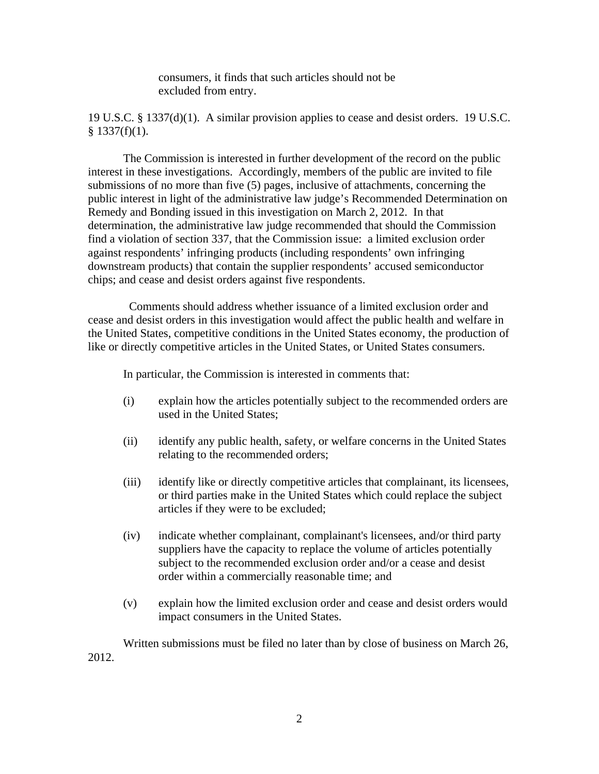consumers, it finds that such articles should not be excluded from entry.

19 U.S.C. § 1337(d)(1). A similar provision applies to cease and desist orders. 19 U.S.C.  $$1337(f)(1).$ 

The Commission is interested in further development of the record on the public interest in these investigations. Accordingly, members of the public are invited to file submissions of no more than five (5) pages, inclusive of attachments, concerning the public interest in light of the administrative law judge's Recommended Determination on Remedy and Bonding issued in this investigation on March 2, 2012. In that determination, the administrative law judge recommended that should the Commission find a violation of section 337, that the Commission issue: a limited exclusion order against respondents' infringing products (including respondents' own infringing downstream products) that contain the supplier respondents' accused semiconductor chips; and cease and desist orders against five respondents.

 Comments should address whether issuance of a limited exclusion order and cease and desist orders in this investigation would affect the public health and welfare in the United States, competitive conditions in the United States economy, the production of like or directly competitive articles in the United States, or United States consumers.

In particular, the Commission is interested in comments that:

- (i) explain how the articles potentially subject to the recommended orders are used in the United States;
- (ii) identify any public health, safety, or welfare concerns in the United States relating to the recommended orders;
- (iii) identify like or directly competitive articles that complainant, its licensees, or third parties make in the United States which could replace the subject articles if they were to be excluded;
- (iv) indicate whether complainant, complainant's licensees, and/or third party suppliers have the capacity to replace the volume of articles potentially subject to the recommended exclusion order and/or a cease and desist order within a commercially reasonable time; and
- (v) explain how the limited exclusion order and cease and desist orders would impact consumers in the United States.

Written submissions must be filed no later than by close of business on March 26, 2012.